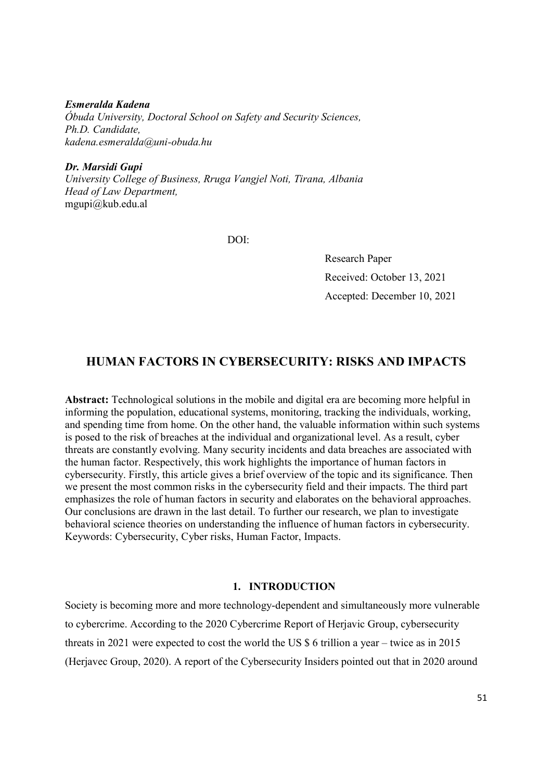Esmeralda Kadena Óbuda University, Doctoral School on Safety and Security Sciences, Ph.D. Candidate, kadena.esmeralda@uni-obuda.hu

Dr. Marsidi Gupi University College of Business, Rruga Vangjel Noti, Tirana, Albania Head of Law Department, mgupi@kub.edu.al

DOI:

Research Paper Received: October 13, 2021 Accepted: December 10, 2021

# HUMAN FACTORS IN CYBERSECURITY: RISKS AND IMPACTS

Abstract: Technological solutions in the mobile and digital era are becoming more helpful in informing the population, educational systems, monitoring, tracking the individuals, working, and spending time from home. On the other hand, the valuable information within such systems is posed to the risk of breaches at the individual and organizational level. As a result, cyber threats are constantly evolving. Many security incidents and data breaches are associated with the human factor. Respectively, this work highlights the importance of human factors in cybersecurity. Firstly, this article gives a brief overview of the topic and its significance. Then we present the most common risks in the cybersecurity field and their impacts. The third part emphasizes the role of human factors in security and elaborates on the behavioral approaches. Our conclusions are drawn in the last detail. To further our research, we plan to investigate behavioral science theories on understanding the influence of human factors in cybersecurity. Keywords: Cybersecurity, Cyber risks, Human Factor, Impacts.

## 1. INTRODUCTION

Society is becoming more and more technology-dependent and simultaneously more vulnerable to cybercrime. According to the 2020 Cybercrime Report of Herjavic Group, cybersecurity threats in 2021 were expected to cost the world the US \$ 6 trillion a year – twice as in 2015 (Herjavec Group, 2020). A report of the Cybersecurity Insiders pointed out that in 2020 around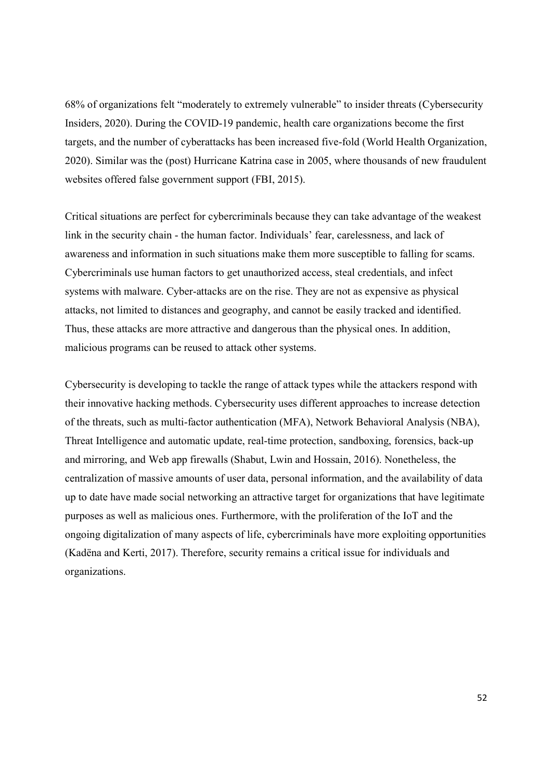68% of organizations felt "moderately to extremely vulnerable" to insider threats (Cybersecurity Insiders, 2020). During the COVID-19 pandemic, health care organizations become the first targets, and the number of cyberattacks has been increased five-fold (World Health Organization, 2020). Similar was the (post) Hurricane Katrina case in 2005, where thousands of new fraudulent websites offered false government support (FBI, 2015).

Critical situations are perfect for cybercriminals because they can take advantage of the weakest link in the security chain - the human factor. Individuals' fear, carelessness, and lack of awareness and information in such situations make them more susceptible to falling for scams. Cybercriminals use human factors to get unauthorized access, steal credentials, and infect systems with malware. Cyber-attacks are on the rise. They are not as expensive as physical attacks, not limited to distances and geography, and cannot be easily tracked and identified. Thus, these attacks are more attractive and dangerous than the physical ones. In addition, malicious programs can be reused to attack other systems.

Cybersecurity is developing to tackle the range of attack types while the attackers respond with their innovative hacking methods. Cybersecurity uses different approaches to increase detection of the threats, such as multi-factor authentication (MFA), Network Behavioral Analysis (NBA), Threat Intelligence and automatic update, real-time protection, sandboxing, forensics, back-up and mirroring, and Web app firewalls (Shabut, Lwin and Hossain, 2016). Nonetheless, the centralization of massive amounts of user data, personal information, and the availability of data up to date have made social networking an attractive target for organizations that have legitimate purposes as well as malicious ones. Furthermore, with the proliferation of the IoT and the ongoing digitalization of many aspects of life, cybercriminals have more exploiting opportunities (Kadëna and Kerti, 2017). Therefore, security remains a critical issue for individuals and organizations.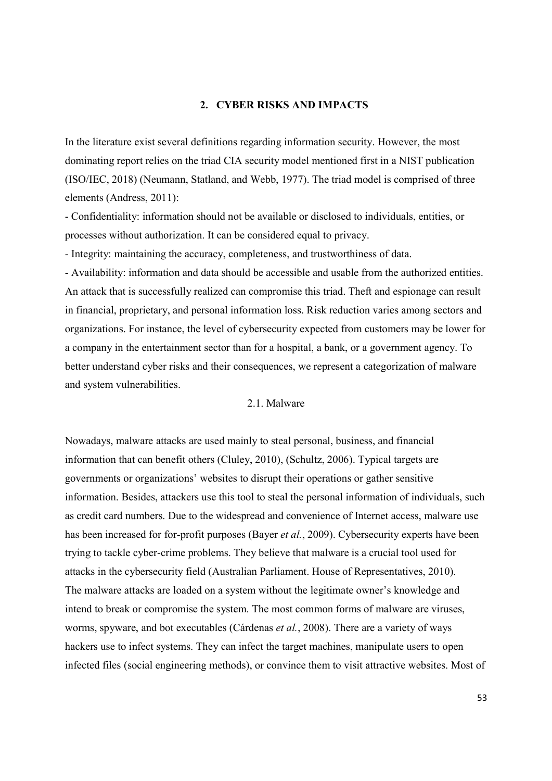## 2. CYBER RISKS AND IMPACTS

In the literature exist several definitions regarding information security. However, the most dominating report relies on the triad CIA security model mentioned first in a NIST publication (ISO/IEC, 2018) (Neumann, Statland, and Webb, 1977). The triad model is comprised of three elements (Andress, 2011):

- Confidentiality: information should not be available or disclosed to individuals, entities, or processes without authorization. It can be considered equal to privacy.

- Integrity: maintaining the accuracy, completeness, and trustworthiness of data.

- Availability: information and data should be accessible and usable from the authorized entities. An attack that is successfully realized can compromise this triad. Theft and espionage can result in financial, proprietary, and personal information loss. Risk reduction varies among sectors and organizations. For instance, the level of cybersecurity expected from customers may be lower for a company in the entertainment sector than for a hospital, a bank, or a government agency. To better understand cyber risks and their consequences, we represent a categorization of malware and system vulnerabilities.

## 2.1. Malware

Nowadays, malware attacks are used mainly to steal personal, business, and financial information that can benefit others (Cluley, 2010), (Schultz, 2006). Typical targets are governments or organizations' websites to disrupt their operations or gather sensitive information. Besides, attackers use this tool to steal the personal information of individuals, such as credit card numbers. Due to the widespread and convenience of Internet access, malware use has been increased for for-profit purposes (Bayer *et al.*, 2009). Cybersecurity experts have been trying to tackle cyber-crime problems. They believe that malware is a crucial tool used for attacks in the cybersecurity field (Australian Parliament. House of Representatives, 2010). The malware attacks are loaded on a system without the legitimate owner's knowledge and intend to break or compromise the system. The most common forms of malware are viruses, worms, spyware, and bot executables (Cárdenas et al., 2008). There are a variety of ways hackers use to infect systems. They can infect the target machines, manipulate users to open infected files (social engineering methods), or convince them to visit attractive websites. Most of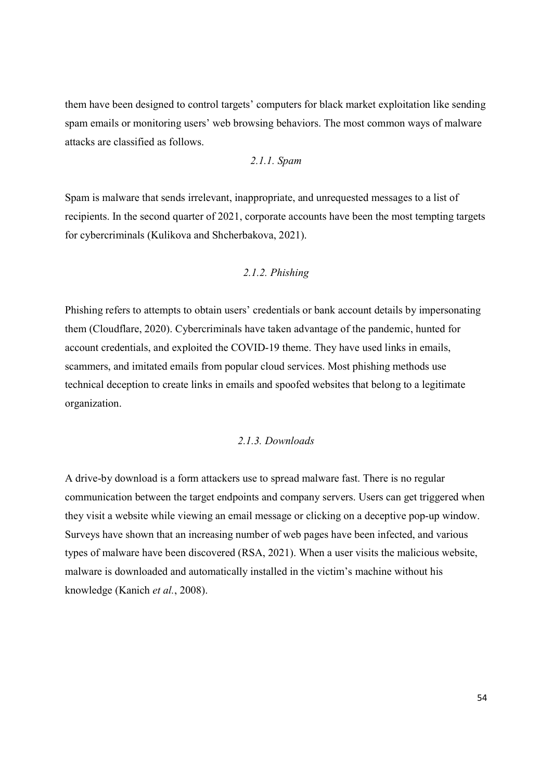them have been designed to control targets' computers for black market exploitation like sending spam emails or monitoring users' web browsing behaviors. The most common ways of malware attacks are classified as follows.

2.1.1. Spam

Spam is malware that sends irrelevant, inappropriate, and unrequested messages to a list of recipients. In the second quarter of 2021, corporate accounts have been the most tempting targets for cybercriminals (Kulikova and Shcherbakova, 2021).

#### 2.1.2. Phishing

Phishing refers to attempts to obtain users' credentials or bank account details by impersonating them (Cloudflare, 2020). Cybercriminals have taken advantage of the pandemic, hunted for account credentials, and exploited the COVID-19 theme. They have used links in emails, scammers, and imitated emails from popular cloud services. Most phishing methods use technical deception to create links in emails and spoofed websites that belong to a legitimate organization.

## 2.1.3. Downloads

A drive-by download is a form attackers use to spread malware fast. There is no regular communication between the target endpoints and company servers. Users can get triggered when they visit a website while viewing an email message or clicking on a deceptive pop-up window. Surveys have shown that an increasing number of web pages have been infected, and various types of malware have been discovered (RSA, 2021). When a user visits the malicious website, malware is downloaded and automatically installed in the victim's machine without his knowledge (Kanich et al., 2008).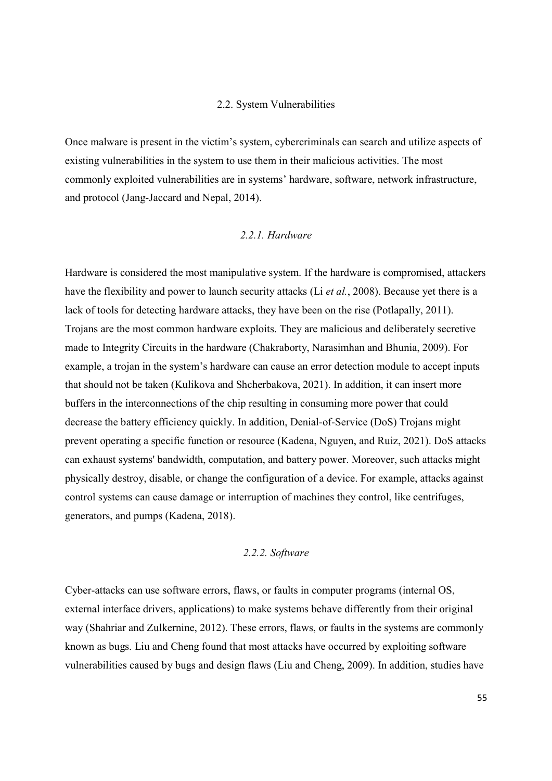#### 2.2. System Vulnerabilities

Once malware is present in the victim's system, cybercriminals can search and utilize aspects of existing vulnerabilities in the system to use them in their malicious activities. The most commonly exploited vulnerabilities are in systems' hardware, software, network infrastructure, and protocol (Jang-Jaccard and Nepal, 2014).

## 2.2.1. Hardware

Hardware is considered the most manipulative system. If the hardware is compromised, attackers have the flexibility and power to launch security attacks (Li *et al.*, 2008). Because yet there is a lack of tools for detecting hardware attacks, they have been on the rise (Potlapally, 2011). Trojans are the most common hardware exploits. They are malicious and deliberately secretive made to Integrity Circuits in the hardware (Chakraborty, Narasimhan and Bhunia, 2009). For example, a trojan in the system's hardware can cause an error detection module to accept inputs that should not be taken (Kulikova and Shcherbakova, 2021). In addition, it can insert more buffers in the interconnections of the chip resulting in consuming more power that could decrease the battery efficiency quickly. In addition, Denial-of-Service (DoS) Trojans might prevent operating a specific function or resource (Kadena, Nguyen, and Ruiz, 2021). DoS attacks can exhaust systems' bandwidth, computation, and battery power. Moreover, such attacks might physically destroy, disable, or change the configuration of a device. For example, attacks against control systems can cause damage or interruption of machines they control, like centrifuges, generators, and pumps (Kadena, 2018).

## 2.2.2. Software

Cyber-attacks can use software errors, flaws, or faults in computer programs (internal OS, external interface drivers, applications) to make systems behave differently from their original way (Shahriar and Zulkernine, 2012). These errors, flaws, or faults in the systems are commonly known as bugs. Liu and Cheng found that most attacks have occurred by exploiting software vulnerabilities caused by bugs and design flaws (Liu and Cheng, 2009). In addition, studies have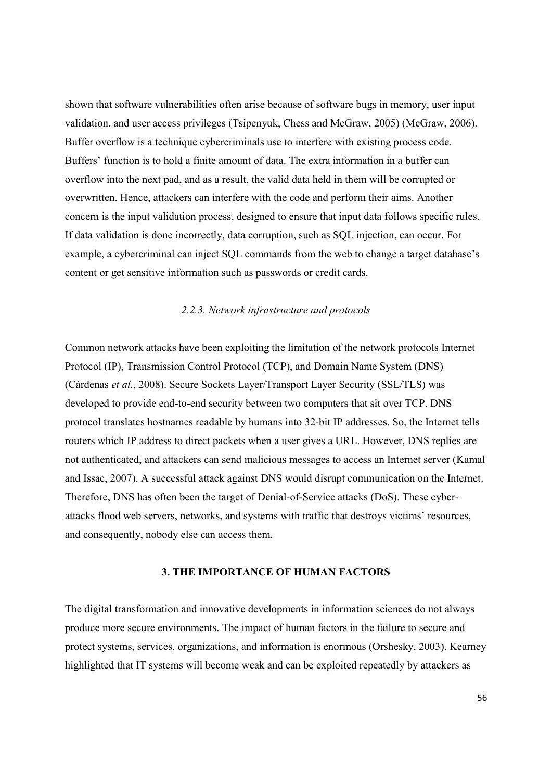shown that software vulnerabilities often arise because of software bugs in memory, user input validation, and user access privileges (Tsipenyuk, Chess and McGraw, 2005) (McGraw, 2006). Buffer overflow is a technique cybercriminals use to interfere with existing process code. Buffers' function is to hold a finite amount of data. The extra information in a buffer can overflow into the next pad, and as a result, the valid data held in them will be corrupted or overwritten. Hence, attackers can interfere with the code and perform their aims. Another concern is the input validation process, designed to ensure that input data follows specific rules. If data validation is done incorrectly, data corruption, such as SQL injection, can occur. For example, a cybercriminal can inject SQL commands from the web to change a target database's content or get sensitive information such as passwords or credit cards.

## 2.2.3. Network infrastructure and protocols

Common network attacks have been exploiting the limitation of the network protocols Internet Protocol (IP), Transmission Control Protocol (TCP), and Domain Name System (DNS) (Cárdenas et al., 2008). Secure Sockets Layer/Transport Layer Security (SSL/TLS) was developed to provide end-to-end security between two computers that sit over TCP. DNS protocol translates hostnames readable by humans into 32-bit IP addresses. So, the Internet tells routers which IP address to direct packets when a user gives a URL. However, DNS replies are not authenticated, and attackers can send malicious messages to access an Internet server (Kamal and Issac, 2007). A successful attack against DNS would disrupt communication on the Internet. Therefore, DNS has often been the target of Denial-of-Service attacks (DoS). These cyberattacks flood web servers, networks, and systems with traffic that destroys victims' resources, and consequently, nobody else can access them.

#### 3. THE IMPORTANCE OF HUMAN FACTORS

The digital transformation and innovative developments in information sciences do not always produce more secure environments. The impact of human factors in the failure to secure and protect systems, services, organizations, and information is enormous (Orshesky, 2003). Kearney highlighted that IT systems will become weak and can be exploited repeatedly by attackers as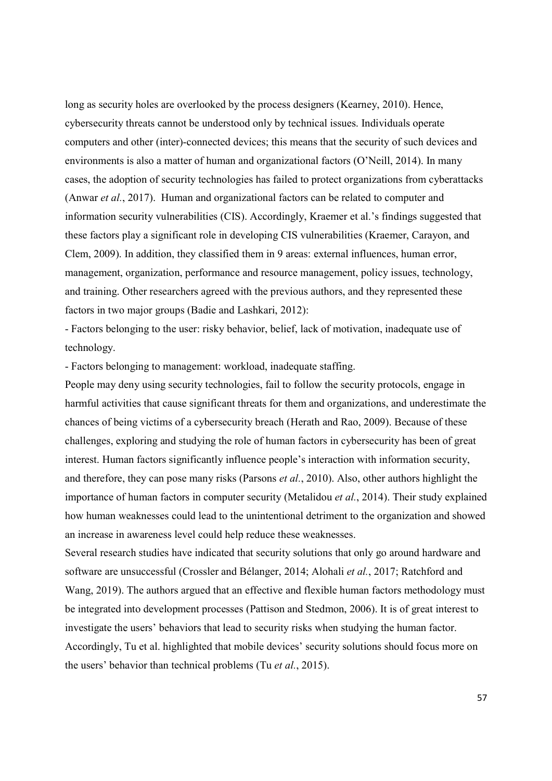long as security holes are overlooked by the process designers (Kearney, 2010). Hence, cybersecurity threats cannot be understood only by technical issues. Individuals operate computers and other (inter)-connected devices; this means that the security of such devices and environments is also a matter of human and organizational factors (O'Neill, 2014). In many cases, the adoption of security technologies has failed to protect organizations from cyberattacks (Anwar et al., 2017). Human and organizational factors can be related to computer and information security vulnerabilities (CIS). Accordingly, Kraemer et al.'s findings suggested that these factors play a significant role in developing CIS vulnerabilities (Kraemer, Carayon, and Clem, 2009). In addition, they classified them in 9 areas: external influences, human error, management, organization, performance and resource management, policy issues, technology, and training. Other researchers agreed with the previous authors, and they represented these factors in two major groups (Badie and Lashkari, 2012):

- Factors belonging to the user: risky behavior, belief, lack of motivation, inadequate use of technology.

- Factors belonging to management: workload, inadequate staffing.

People may deny using security technologies, fail to follow the security protocols, engage in harmful activities that cause significant threats for them and organizations, and underestimate the chances of being victims of a cybersecurity breach (Herath and Rao, 2009). Because of these challenges, exploring and studying the role of human factors in cybersecurity has been of great interest. Human factors significantly influence people's interaction with information security, and therefore, they can pose many risks (Parsons et al., 2010). Also, other authors highlight the importance of human factors in computer security (Metalidou *et al.*, 2014). Their study explained how human weaknesses could lead to the unintentional detriment to the organization and showed an increase in awareness level could help reduce these weaknesses.

Several research studies have indicated that security solutions that only go around hardware and software are unsuccessful (Crossler and Bélanger, 2014; Alohali et al., 2017; Ratchford and Wang, 2019). The authors argued that an effective and flexible human factors methodology must be integrated into development processes (Pattison and Stedmon, 2006). It is of great interest to investigate the users' behaviors that lead to security risks when studying the human factor. Accordingly, Tu et al. highlighted that mobile devices' security solutions should focus more on the users' behavior than technical problems (Tu et al., 2015).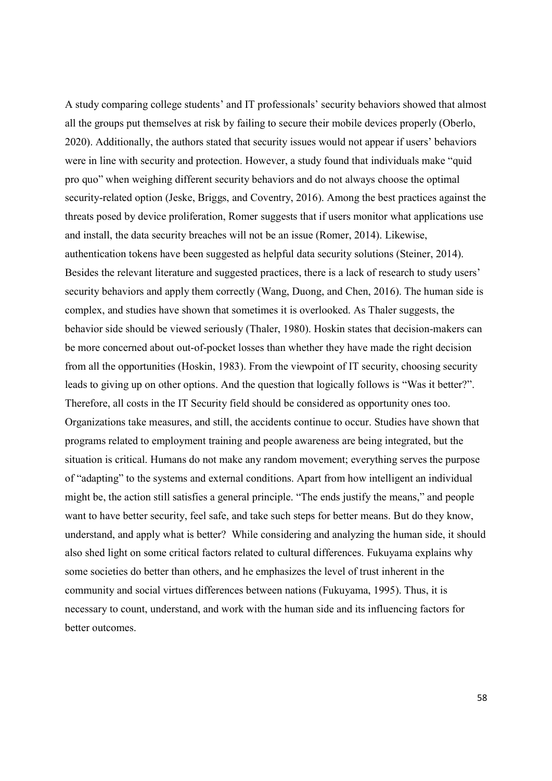A study comparing college students' and IT professionals' security behaviors showed that almost all the groups put themselves at risk by failing to secure their mobile devices properly (Oberlo, 2020). Additionally, the authors stated that security issues would not appear if users' behaviors were in line with security and protection. However, a study found that individuals make "quid pro quo" when weighing different security behaviors and do not always choose the optimal security-related option (Jeske, Briggs, and Coventry, 2016). Among the best practices against the threats posed by device proliferation, Romer suggests that if users monitor what applications use and install, the data security breaches will not be an issue (Romer, 2014). Likewise, authentication tokens have been suggested as helpful data security solutions (Steiner, 2014). Besides the relevant literature and suggested practices, there is a lack of research to study users' security behaviors and apply them correctly (Wang, Duong, and Chen, 2016). The human side is complex, and studies have shown that sometimes it is overlooked. As Thaler suggests, the behavior side should be viewed seriously (Thaler, 1980). Hoskin states that decision-makers can be more concerned about out-of-pocket losses than whether they have made the right decision from all the opportunities (Hoskin, 1983). From the viewpoint of IT security, choosing security leads to giving up on other options. And the question that logically follows is "Was it better?". Therefore, all costs in the IT Security field should be considered as opportunity ones too. Organizations take measures, and still, the accidents continue to occur. Studies have shown that programs related to employment training and people awareness are being integrated, but the situation is critical. Humans do not make any random movement; everything serves the purpose of "adapting" to the systems and external conditions. Apart from how intelligent an individual might be, the action still satisfies a general principle. "The ends justify the means," and people want to have better security, feel safe, and take such steps for better means. But do they know, understand, and apply what is better? While considering and analyzing the human side, it should also shed light on some critical factors related to cultural differences. Fukuyama explains why some societies do better than others, and he emphasizes the level of trust inherent in the community and social virtues differences between nations (Fukuyama, 1995). Thus, it is necessary to count, understand, and work with the human side and its influencing factors for better outcomes.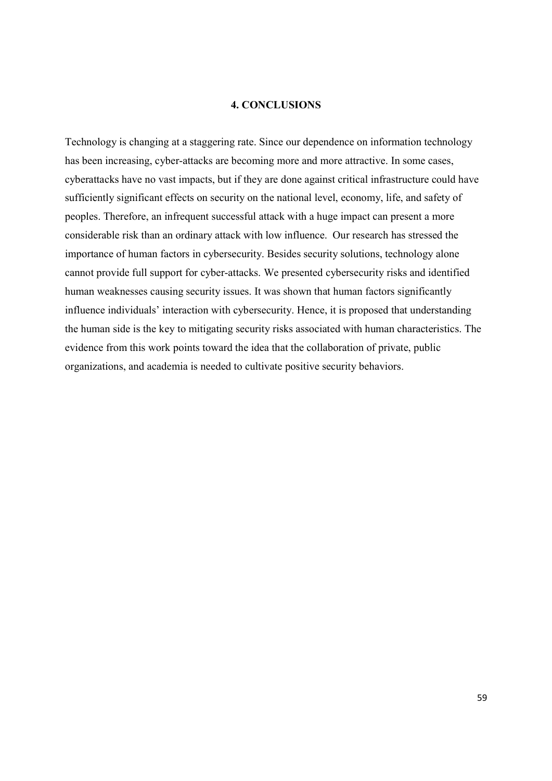#### 4. CONCLUSIONS

Technology is changing at a staggering rate. Since our dependence on information technology has been increasing, cyber-attacks are becoming more and more attractive. In some cases, cyberattacks have no vast impacts, but if they are done against critical infrastructure could have sufficiently significant effects on security on the national level, economy, life, and safety of peoples. Therefore, an infrequent successful attack with a huge impact can present a more considerable risk than an ordinary attack with low influence. Our research has stressed the importance of human factors in cybersecurity. Besides security solutions, technology alone cannot provide full support for cyber-attacks. We presented cybersecurity risks and identified human weaknesses causing security issues. It was shown that human factors significantly influence individuals' interaction with cybersecurity. Hence, it is proposed that understanding the human side is the key to mitigating security risks associated with human characteristics. The evidence from this work points toward the idea that the collaboration of private, public organizations, and academia is needed to cultivate positive security behaviors.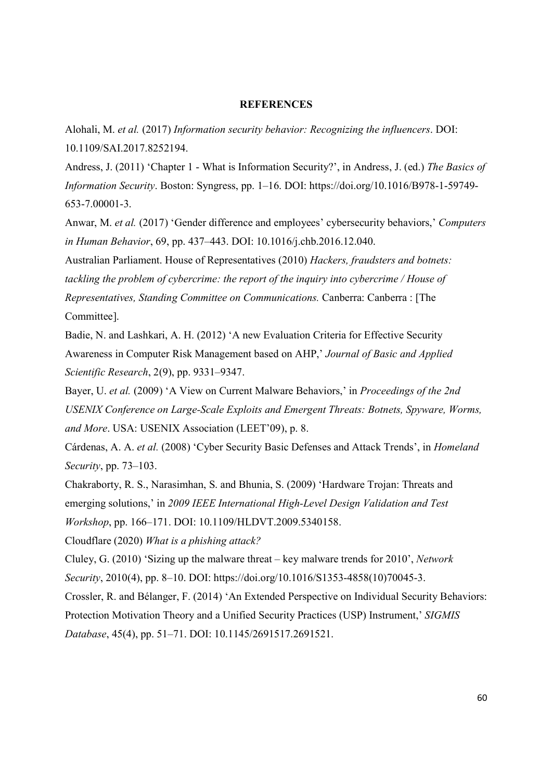## **REFERENCES**

Alohali, M. et al. (2017) Information security behavior: Recognizing the influencers. DOI: 10.1109/SAI.2017.8252194.

Andress, J. (2011) 'Chapter 1 - What is Information Security?', in Andress, J. (ed.) The Basics of Information Security. Boston: Syngress, pp. 1–16. DOI: https://doi.org/10.1016/B978-1-59749- 653-7.00001-3.

Anwar, M. et al. (2017) 'Gender difference and employees' cybersecurity behaviors,' Computers in Human Behavior, 69, pp. 437–443. DOI: 10.1016/j.chb.2016.12.040.

Australian Parliament. House of Representatives (2010) Hackers, fraudsters and botnets: tackling the problem of cybercrime: the report of the inquiry into cybercrime / House of Representatives, Standing Committee on Communications. Canberra: Canberra : [The Committee].

Badie, N. and Lashkari, A. H. (2012) 'A new Evaluation Criteria for Effective Security Awareness in Computer Risk Management based on AHP,' Journal of Basic and Applied Scientific Research, 2(9), pp. 9331–9347.

Bayer, U. et al. (2009) 'A View on Current Malware Behaviors,' in *Proceedings of the 2nd* USENIX Conference on Large-Scale Exploits and Emergent Threats: Botnets, Spyware, Worms, and More. USA: USENIX Association (LEET'09), p. 8.

Cárdenas, A. A. et al. (2008) 'Cyber Security Basic Defenses and Attack Trends', in Homeland Security, pp. 73–103.

Chakraborty, R. S., Narasimhan, S. and Bhunia, S. (2009) 'Hardware Trojan: Threats and emerging solutions,' in 2009 IEEE International High-Level Design Validation and Test Workshop, pp. 166–171. DOI: 10.1109/HLDVT.2009.5340158.

Cloudflare (2020) What is a phishing attack?

Cluley, G. (2010) 'Sizing up the malware threat – key malware trends for 2010', Network Security, 2010(4), pp. 8–10. DOI: https://doi.org/10.1016/S1353-4858(10)70045-3.

Crossler, R. and Bélanger, F. (2014) 'An Extended Perspective on Individual Security Behaviors: Protection Motivation Theory and a Unified Security Practices (USP) Instrument,' SIGMIS Database, 45(4), pp. 51–71. DOI: 10.1145/2691517.2691521.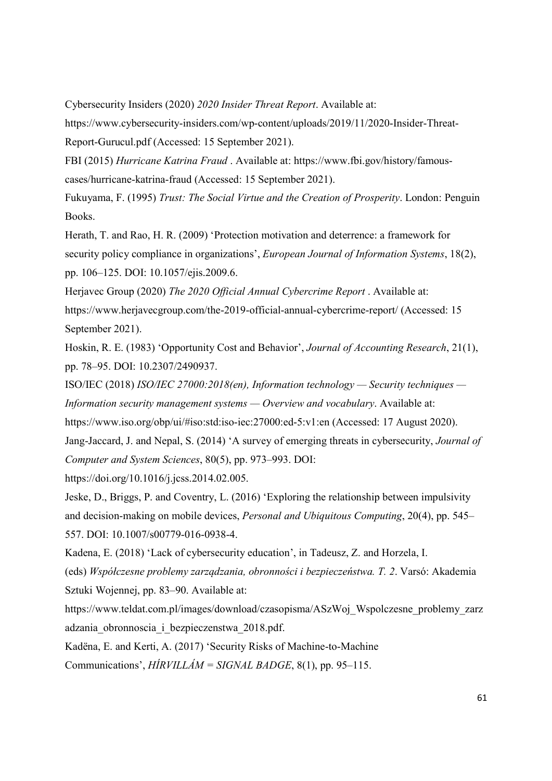Cybersecurity Insiders (2020) 2020 Insider Threat Report. Available at:

https://www.cybersecurity-insiders.com/wp-content/uploads/2019/11/2020-Insider-Threat-Report-Gurucul.pdf (Accessed: 15 September 2021).

FBI (2015) Hurricane Katrina Fraud . Available at: https://www.fbi.gov/history/famouscases/hurricane-katrina-fraud (Accessed: 15 September 2021).

Fukuyama, F. (1995) Trust: The Social Virtue and the Creation of Prosperity. London: Penguin Books.

Herath, T. and Rao, H. R. (2009) 'Protection motivation and deterrence: a framework for security policy compliance in organizations', *European Journal of Information Systems*, 18(2), pp. 106–125. DOI: 10.1057/ejis.2009.6.

Herjavec Group (2020) The 2020 Official Annual Cybercrime Report . Available at: https://www.herjavecgroup.com/the-2019-official-annual-cybercrime-report/ (Accessed: 15

September 2021).

Hoskin, R. E. (1983) 'Opportunity Cost and Behavior', Journal of Accounting Research, 21(1), pp. 78–95. DOI: 10.2307/2490937.

ISO/IEC (2018) ISO/IEC 27000:2018(en), Information technology — Security techniques — Information security management systems — Overview and vocabulary. Available at:

https://www.iso.org/obp/ui/#iso:std:iso-iec:27000:ed-5:v1:en (Accessed: 17 August 2020).

Jang-Jaccard, J. and Nepal, S. (2014) 'A survey of emerging threats in cybersecurity, Journal of Computer and System Sciences, 80(5), pp. 973–993. DOI:

https://doi.org/10.1016/j.jcss.2014.02.005.

Jeske, D., Briggs, P. and Coventry, L. (2016) 'Exploring the relationship between impulsivity and decision-making on mobile devices, Personal and Ubiquitous Computing, 20(4), pp. 545– 557. DOI: 10.1007/s00779-016-0938-4.

Kadena, E. (2018) 'Lack of cybersecurity education', in Tadeusz, Z. and Horzela, I.

(eds) Współczesne problemy zarządzania, obronności i bezpieczeństwa. T. 2. Varsó: Akademia Sztuki Wojennej, pp. 83–90. Available at:

https://www.teldat.com.pl/images/download/czasopisma/ASzWoj\_Wspolczesne\_problemy\_zarz adzania\_obronnoscia\_i\_bezpieczenstwa\_2018.pdf.

Kadëna, E. and Kerti, A. (2017) 'Security Risks of Machine-to-Machine Communications',  $HIRVILLAM = SIGNAL BADGE$ , 8(1), pp. 95–115.

61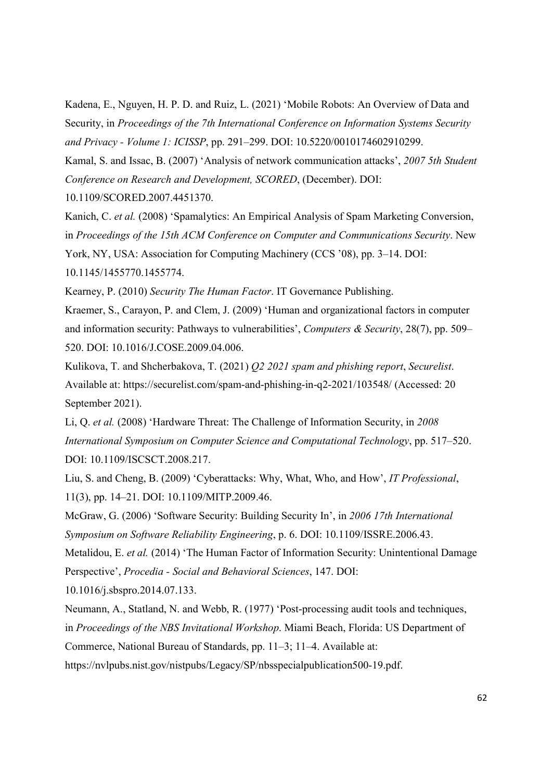Kadena, E., Nguyen, H. P. D. and Ruiz, L. (2021) 'Mobile Robots: An Overview of Data and Security, in Proceedings of the 7th International Conference on Information Systems Security and Privacy - Volume 1: ICISSP, pp. 291–299. DOI: 10.5220/0010174602910299.

Kamal, S. and Issac, B. (2007) 'Analysis of network communication attacks', 2007 5th Student Conference on Research and Development, SCORED, (December). DOI:

10.1109/SCORED.2007.4451370.

Kanich, C. et al. (2008) 'Spamalytics: An Empirical Analysis of Spam Marketing Conversion, in Proceedings of the 15th ACM Conference on Computer and Communications Security. New York, NY, USA: Association for Computing Machinery (CCS '08), pp. 3–14. DOI: 10.1145/1455770.1455774.

Kearney, P. (2010) Security The Human Factor. IT Governance Publishing.

Kraemer, S., Carayon, P. and Clem, J. (2009) 'Human and organizational factors in computer and information security: Pathways to vulnerabilities', Computers & Security, 28(7), pp. 509– 520. DOI: 10.1016/J.COSE.2009.04.006.

Kulikova, T. and Shcherbakova, T. (2021) Q2 2021 spam and phishing report, Securelist. Available at: https://securelist.com/spam-and-phishing-in-q2-2021/103548/ (Accessed: 20 September 2021).

Li, Q. et al. (2008) 'Hardware Threat: The Challenge of Information Security, in 2008 International Symposium on Computer Science and Computational Technology, pp. 517–520. DOI: 10.1109/ISCSCT.2008.217.

Liu, S. and Cheng, B. (2009) 'Cyberattacks: Why, What, Who, and How', IT Professional, 11(3), pp. 14–21. DOI: 10.1109/MITP.2009.46.

McGraw, G. (2006) 'Software Security: Building Security In', in 2006 17th International Symposium on Software Reliability Engineering, p. 6. DOI: 10.1109/ISSRE.2006.43.

Metalidou, E. et al. (2014) 'The Human Factor of Information Security: Unintentional Damage Perspective', Procedia - Social and Behavioral Sciences, 147. DOI:

10.1016/j.sbspro.2014.07.133.

Neumann, A., Statland, N. and Webb, R. (1977) 'Post-processing audit tools and techniques, in Proceedings of the NBS Invitational Workshop. Miami Beach, Florida: US Department of Commerce, National Bureau of Standards, pp. 11–3; 11–4. Available at: https://nvlpubs.nist.gov/nistpubs/Legacy/SP/nbsspecialpublication500-19.pdf.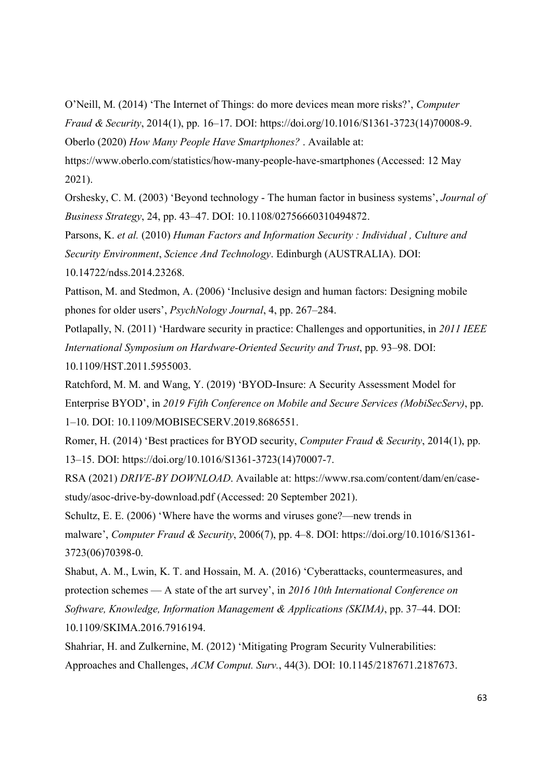O'Neill, M. (2014) 'The Internet of Things: do more devices mean more risks?', Computer Fraud & Security, 2014(1), pp. 16–17. DOI: https://doi.org/10.1016/S1361-3723(14)70008-9. Oberlo (2020) How Many People Have Smartphones? . Available at:

https://www.oberlo.com/statistics/how-many-people-have-smartphones (Accessed: 12 May 2021).

Orshesky, C. M. (2003) 'Beyond technology - The human factor in business systems', Journal of Business Strategy, 24, pp. 43–47. DOI: 10.1108/02756660310494872.

Parsons, K. et al. (2010) Human Factors and Information Security : Individual , Culture and Security Environment, Science And Technology. Edinburgh (AUSTRALIA). DOI: 10.14722/ndss.2014.23268.

Pattison, M. and Stedmon, A. (2006) 'Inclusive design and human factors: Designing mobile phones for older users', PsychNology Journal, 4, pp. 267–284.

Potlapally, N. (2011) 'Hardware security in practice: Challenges and opportunities, in 2011 IEEE International Symposium on Hardware-Oriented Security and Trust, pp. 93–98. DOI: 10.1109/HST.2011.5955003.

Ratchford, M. M. and Wang, Y. (2019) 'BYOD-Insure: A Security Assessment Model for Enterprise BYOD', in 2019 Fifth Conference on Mobile and Secure Services (MobiSecServ), pp. 1–10. DOI: 10.1109/MOBISECSERV.2019.8686551.

Romer, H. (2014) 'Best practices for BYOD security, Computer Fraud & Security, 2014(1), pp. 13–15. DOI: https://doi.org/10.1016/S1361-3723(14)70007-7.

RSA (2021) DRIVE-BY DOWNLOAD. Available at: https://www.rsa.com/content/dam/en/casestudy/asoc-drive-by-download.pdf (Accessed: 20 September 2021).

Schultz, E. E. (2006) 'Where have the worms and viruses gone?—new trends in malware', Computer Fraud & Security, 2006(7), pp. 4–8. DOI: https://doi.org/10.1016/S1361- 3723(06)70398-0.

Shabut, A. M., Lwin, K. T. and Hossain, M. A. (2016) 'Cyberattacks, countermeasures, and protection schemes — A state of the art survey', in 2016 10th International Conference on Software, Knowledge, Information Management & Applications (SKIMA), pp. 37–44. DOI: 10.1109/SKIMA.2016.7916194.

Shahriar, H. and Zulkernine, M. (2012) 'Mitigating Program Security Vulnerabilities: Approaches and Challenges, ACM Comput. Surv., 44(3). DOI: 10.1145/2187671.2187673.